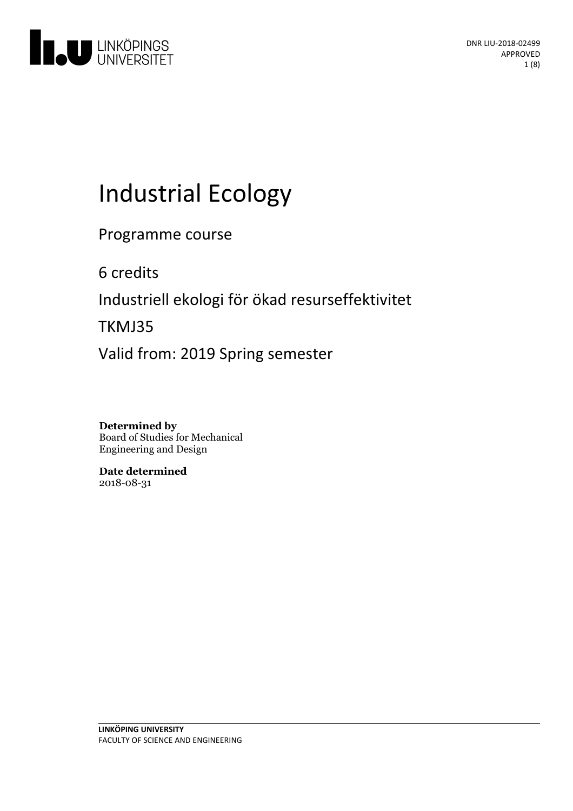

# **Industrial Ecology**

Programme course

6 credits

Industriell ekologi för ökad resurseffektivitet

TKMJ35

Valid from: 2019 Spring semester

**Determined by** Board of Studies for Mechanical Engineering and Design

**Date determined** 2018-08-31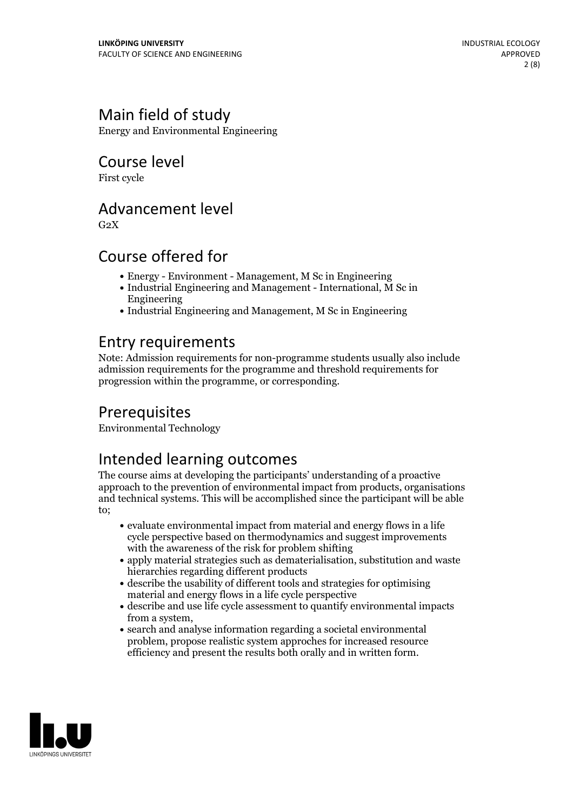# Main field of study

Energy and Environmental Engineering

Course level

First cycle

### Advancement level

 $G<sub>2</sub>X$ 

### Course offered for

- Energy Environment Management, M Sc in Engineering
- Industrial Engineering and Management International, M Sc in Engineering
- Industrial Engineering and Management, M Sc in Engineering

### Entry requirements

Note: Admission requirements for non-programme students usually also include admission requirements for the programme and threshold requirements for progression within the programme, or corresponding.

# **Prerequisites**

Environmental Technology

# Intended learning outcomes

The course aims at developing the participants' understanding of a proactive approach to the prevention of environmental impact from products, organisations and technical systems. This will be accomplished since the participant will be able to;

- evaluate environmental impact from material and energy flows in a life cycle perspective based on thermodynamics and suggest improvements with the awareness of the risk for problem shifting
- apply material strategies such as dematerialisation, substitution and waste hierarchies regarding different products
- describe the usability of different tools and strategies for optimising material and energy flows in a life cycle perspective
- describe and use life cycle assessment to quantify environmental impacts from a system,<br>• search and analyse information regarding a societal environmental
- problem, propose realistic system approches for increased resource efficiency and present the results both orally and in written form.

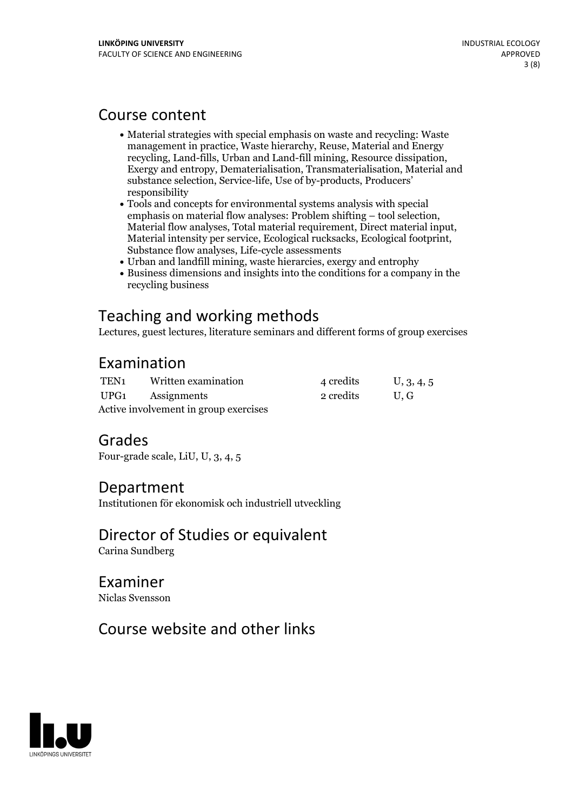### Course content

- Material strategies with special emphasis on waste and recycling: Waste management in practice, Waste hierarchy, Reuse, Material and Energy recycling, Land-fills, Urban and Land-fill mining, Resource dissipation, Exergy and entropy, Dematerialisation, Transmaterialisation, Material and substance selection, Service-life, Use of by-products, Producers' responsibility
- Tools and concepts for environmental systems analysis with special Material flow analyses, Total material requirement, Direct material input, Material intensity per service, Ecological rucksacks, Ecological footprint, Substance flow analyses, Life-cycle assessments
- Urban and landfill mining, waste hierarcies, exergy and entrophy
- Business dimensions and insights into the conditions for a company in the recycling business

# Teaching and working methods

Lectures, guest lectures, literature seminars and different forms of group exercises

# Examination

| TEN1                                  | Written examination | 4 credits | U, 3, 4, 5 |
|---------------------------------------|---------------------|-----------|------------|
|                                       | UPG1 Assignments    | 2 credits | U.G        |
| Active involvement in group exercises |                     |           |            |

### Grades

Four-grade scale, LiU, U, 3, 4, 5

### Department

Institutionen för ekonomisk och industriell utveckling

# Director of Studies or equivalent

Carina Sundberg

# Examiner

Niclas Svensson

# Course website and other links

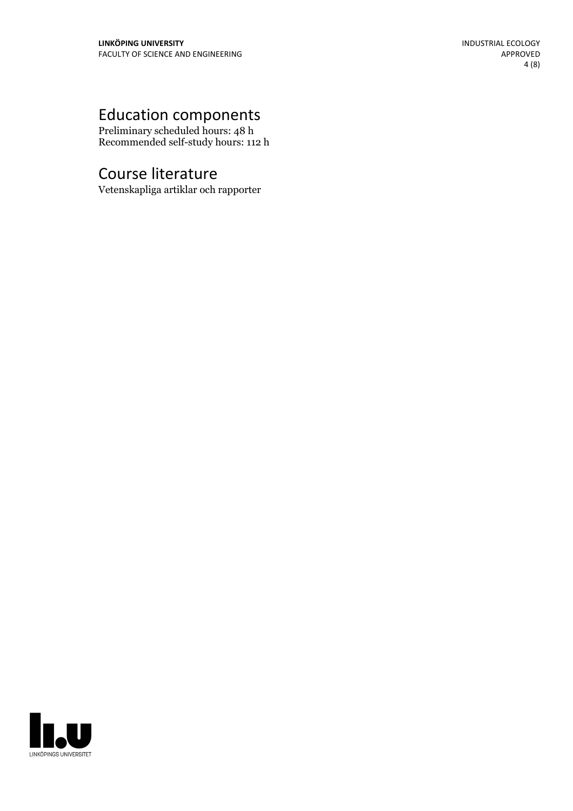# Education components

Preliminary scheduled hours: 48 h Recommended self-study hours: 112 h

# Course literature

Vetenskapliga artiklar och rapporter

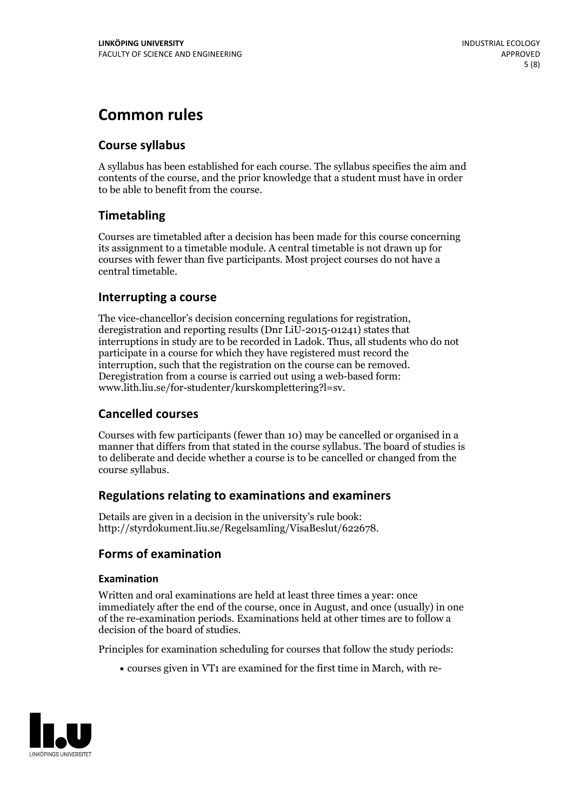# **Common rules**

### **Course syllabus**

A syllabus has been established for each course. The syllabus specifies the aim and contents of the course, and the prior knowledge that a student must have in order to be able to benefit from the course.

### **Timetabling**

Courses are timetabled after a decision has been made for this course concerning its assignment to a timetable module. A central timetable is not drawn up for courses with fewer than five participants. Most project courses do not have a central timetable.

### **Interrupting a course**

The vice-chancellor's decision concerning regulations for registration, deregistration and reporting results (Dnr LiU-2015-01241) states that interruptions in study are to be recorded in Ladok. Thus, all students who do not participate in a course for which they have registered must record the interruption, such that the registration on the course can be removed. Deregistration from <sup>a</sup> course is carried outusing <sup>a</sup> web-based form: www.lith.liu.se/for-studenter/kurskomplettering?l=sv.

### **Cancelled courses**

Courses with few participants (fewer than 10) may be cancelled or organised in a manner that differs from that stated in the course syllabus. The board of studies is to deliberate and decide whether a course is to be cancelled orchanged from the course syllabus.

### **Regulations relatingto examinations and examiners**

Details are given in a decision in the university's rule book: http://styrdokument.liu.se/Regelsamling/VisaBeslut/622678.

### **Forms of examination**

### **Examination**

Written and oral examinations are held at least three times a year: once immediately after the end of the course, once in August, and once (usually) in one of the re-examination periods. Examinations held at other times are to follow a decision of the board of studies.

Principles for examination scheduling for courses that follow the study periods:

courses given in VT1 are examined for the first time in March, with re-

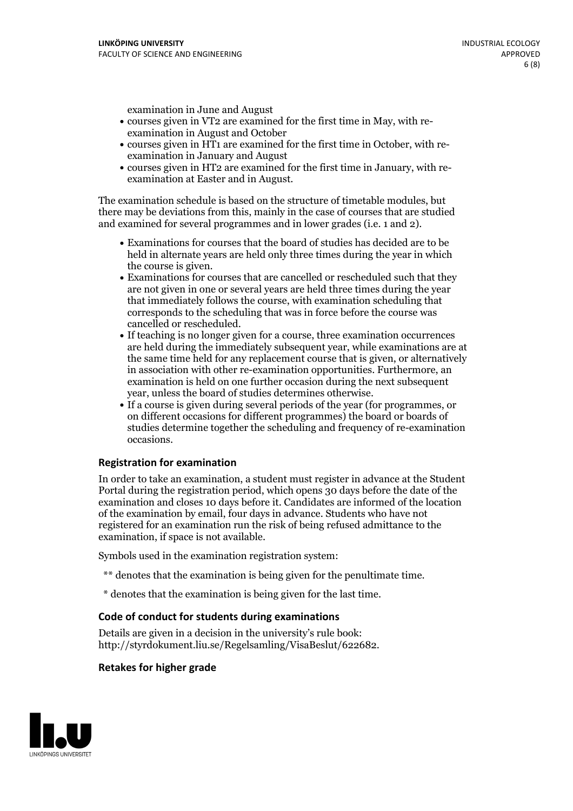examination in June and August

- courses given in VT2 are examined for the first time in May, with re-examination in August and October
- courses given in HT1 are examined for the first time in October, with re-examination in January and August
- courses given in HT2 are examined for the first time in January, with re-examination at Easter and in August.

The examination schedule is based on the structure of timetable modules, but there may be deviations from this, mainly in the case of courses that are studied and examined for several programmes and in lower grades (i.e. 1 and 2).

- Examinations for courses that the board of studies has decided are to be held in alternate years are held only three times during the year in which
- the course is given.<br>• Examinations for courses that are cancelled or rescheduled such that they are not given in one or several years are held three times during the year that immediately follows the course, with examination scheduling that corresponds to the scheduling that was in force before the course was cancelled or rescheduled.<br>• If teaching is no longer given for a course, three examination occurrences
- are held during the immediately subsequent year, while examinations are at the same time held for any replacement course that is given, or alternatively in association with other re-examination opportunities. Furthermore, an examination is held on one further occasion during the next subsequent year, unless the board of studies determines otherwise.<br>• If a course is given during several periods of the year (for programmes, or
- on different occasions for different programmes) the board orboards of studies determine together the scheduling and frequency of re-examination occasions.

#### **Registration for examination**

In order to take an examination, a student must register in advance at the Student Portal during the registration period, which opens 30 days before the date of the examination and closes 10 days before it. Candidates are informed of the location of the examination by email, four days in advance. Students who have not registered for an examination run the risk of being refused admittance to the examination, if space is not available.

Symbols used in the examination registration system:

- \*\* denotes that the examination is being given for the penultimate time.
- \* denotes that the examination is being given for the last time.

### **Code of conduct for students during examinations**

Details are given in a decision in the university's rule book: http://styrdokument.liu.se/Regelsamling/VisaBeslut/622682.

#### **Retakes for higher grade**

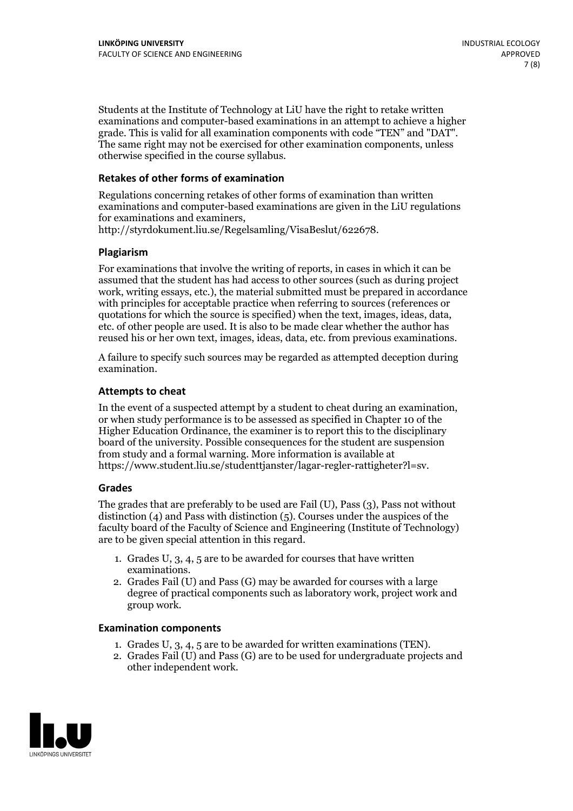Students at the Institute of Technology at LiU have the right to retake written examinations and computer-based examinations in an attempt to achieve a higher grade. This is valid for all examination components with code "TEN" and "DAT". The same right may not be exercised for other examination components, unless otherwise specified in the course syllabus.

#### **Retakes of other forms of examination**

Regulations concerning retakes of other forms of examination than written examinations and computer-based examinations are given in the LiU regulations for examinations and examiners, http://styrdokument.liu.se/Regelsamling/VisaBeslut/622678.

#### **Plagiarism**

For examinations that involve the writing of reports, in cases in which it can be assumed that the student has had access to other sources (such as during project work, writing essays, etc.), the material submitted must be prepared in accordance with principles for acceptable practice when referring to sources (references or quotations for which the source is specified) when the text, images, ideas, data, etc. of other people are used. It is also to be made clear whether the author has reused his or her own text, images, ideas, data, etc. from previous examinations.

A failure to specify such sources may be regarded as attempted deception during examination.

#### **Attempts to cheat**

In the event of <sup>a</sup> suspected attempt by <sup>a</sup> student to cheat during an examination, or when study performance is to be assessed as specified in Chapter <sup>10</sup> of the Higher Education Ordinance, the examiner is to report this to the disciplinary board of the university. Possible consequences for the student are suspension from study and a formal warning. More information is available at https://www.student.liu.se/studenttjanster/lagar-regler-rattigheter?l=sv.

#### **Grades**

The grades that are preferably to be used are Fail (U), Pass (3), Pass not without distinction  $(4)$  and Pass with distinction  $(5)$ . Courses under the auspices of the faculty board of the Faculty of Science and Engineering (Institute of Technology) are to be given special attention in this regard.

- 1. Grades U, 3, 4, 5 are to be awarded for courses that have written
- examinations. 2. Grades Fail (U) and Pass (G) may be awarded for courses with <sup>a</sup> large degree of practical components such as laboratory work, project work and group work.

#### **Examination components**

- 
- 1. Grades U, 3, 4, <sup>5</sup> are to be awarded for written examinations (TEN). 2. Grades Fail (U) and Pass (G) are to be used for undergraduate projects and other independent work.